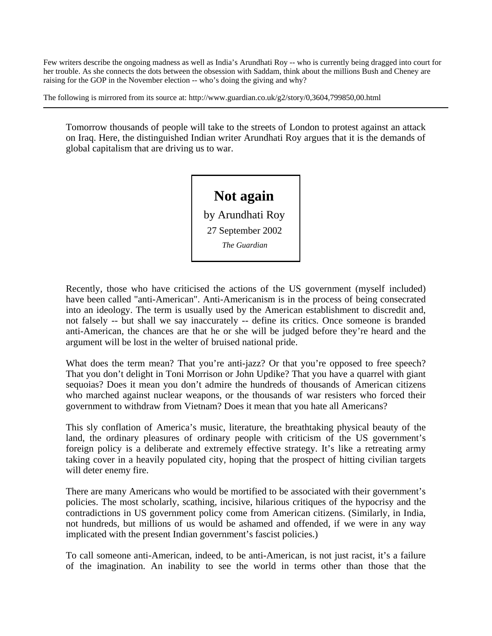Few writers describe the ongoing madness as well as India's Arundhati Roy -- who is currently being dragged into court for her trouble. As she connects the dots between the obsession with Saddam, think about the millions Bush and Cheney are raising for the GOP in the November election -- who's doing the giving and why?

The following is mirrored from its source at: http://www.guardian.co.uk/g2/story/0,3604,799850,00.html

Tomorrow thousands of people will take to the streets of London to protest against an attack on Iraq. Here, the distinguished Indian writer Arundhati Roy argues that it is the demands of global capitalism that are driving us to war.

> **Not again**  by Arundhati Roy 27 September 2002 *The Guardian*

Recently, those who have criticised the actions of the US government (myself included) have been called "anti-American". Anti-Americanism is in the process of being consecrated into an ideology. The term is usually used by the American establishment to discredit and, not falsely -- but shall we say inaccurately -- define its critics. Once someone is branded anti-American, the chances are that he or she will be judged before they're heard and the argument will be lost in the welter of bruised national pride.

What does the term mean? That you're anti-jazz? Or that you're opposed to free speech? That you don't delight in Toni Morrison or John Updike? That you have a quarrel with giant sequoias? Does it mean you don't admire the hundreds of thousands of American citizens who marched against nuclear weapons, or the thousands of war resisters who forced their government to withdraw from Vietnam? Does it mean that you hate all Americans?

This sly conflation of America's music, literature, the breathtaking physical beauty of the land, the ordinary pleasures of ordinary people with criticism of the US government's foreign policy is a deliberate and extremely effective strategy. It's like a retreating army taking cover in a heavily populated city, hoping that the prospect of hitting civilian targets will deter enemy fire.

There are many Americans who would be mortified to be associated with their government's policies. The most scholarly, scathing, incisive, hilarious critiques of the hypocrisy and the contradictions in US government policy come from American citizens. (Similarly, in India, not hundreds, but millions of us would be ashamed and offended, if we were in any way implicated with the present Indian government's fascist policies.)

To call someone anti-American, indeed, to be anti-American, is not just racist, it's a failure of the imagination. An inability to see the world in terms other than those that the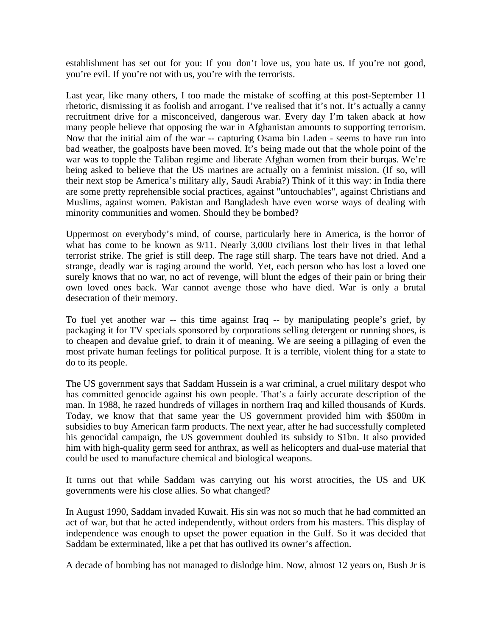establishment has set out for you: If you don't love us, you hate us. If you're not good, you're evil. If you're not with us, you're with the terrorists.

Last year, like many others, I too made the mistake of scoffing at this post-September 11 rhetoric, dismissing it as foolish and arrogant. I've realised that it's not. It's actually a canny recruitment drive for a misconceived, dangerous war. Every day I'm taken aback at how many people believe that opposing the war in Afghanistan amounts to supporting terrorism. Now that the initial aim of the war -- capturing Osama bin Laden - seems to have run into bad weather, the goalposts have been moved. It's being made out that the whole point of the war was to topple the Taliban regime and liberate Afghan women from their burqas. We're being asked to believe that the US marines are actually on a feminist mission. (If so, will their next stop be America's military ally, Saudi Arabia?) Think of it this way: in India there are some pretty reprehensible social practices, against "untouchables", against Christians and Muslims, against women. Pakistan and Bangladesh have even worse ways of dealing with minority communities and women. Should they be bombed?

Uppermost on everybody's mind, of course, particularly here in America, is the horror of what has come to be known as  $9/11$ . Nearly 3,000 civilians lost their lives in that lethal terrorist strike. The grief is still deep. The rage still sharp. The tears have not dried. And a strange, deadly war is raging around the world. Yet, each person who has lost a loved one surely knows that no war, no act of revenge, will blunt the edges of their pain or bring their own loved ones back. War cannot avenge those who have died. War is only a brutal desecration of their memory.

To fuel yet another war -- this time against Iraq -- by manipulating people's grief, by packaging it for TV specials sponsored by corporations selling detergent or running shoes, is to cheapen and devalue grief, to drain it of meaning. We are seeing a pillaging of even the most private human feelings for political purpose. It is a terrible, violent thing for a state to do to its people.

The US government says that Saddam Hussein is a war criminal, a cruel military despot who has committed genocide against his own people. That's a fairly accurate description of the man. In 1988, he razed hundreds of villages in northern Iraq and killed thousands of Kurds. Today, we know that that same year the US government provided him with \$500m in subsidies to buy American farm products. The next year, after he had successfully completed his genocidal campaign, the US government doubled its subsidy to \$1bn. It also provided him with high-quality germ seed for anthrax, as well as helicopters and dual-use material that could be used to manufacture chemical and biological weapons.

It turns out that while Saddam was carrying out his worst atrocities, the US and UK governments were his close allies. So what changed?

In August 1990, Saddam invaded Kuwait. His sin was not so much that he had committed an act of war, but that he acted independently, without orders from his masters. This display of independence was enough to upset the power equation in the Gulf. So it was decided that Saddam be exterminated, like a pet that has outlived its owner's affection.

A decade of bombing has not managed to dislodge him. Now, almost 12 years on, Bush Jr is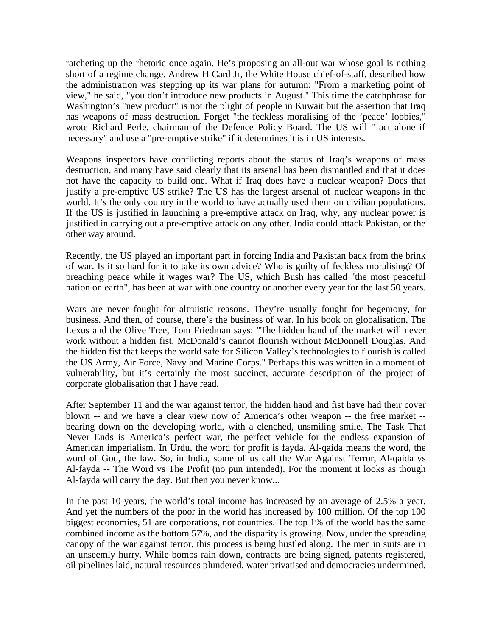ratcheting up the rhetoric once again. He's proposing an all-out war whose goal is nothing short of a regime change. Andrew H Card Jr, the White House chief-of-staff, described how the administration was stepping up its war plans for autumn: "From a marketing point of view," he said, "you don't introduce new products in August." This time the catchphrase for Washington's "new product" is not the plight of people in Kuwait but the assertion that Iraq has weapons of mass destruction. Forget "the feckless moralising of the 'peace' lobbies," wrote Richard Perle, chairman of the Defence Policy Board. The US will " act alone if necessary" and use a "pre-emptive strike" if it determines it is in US interests.

Weapons inspectors have conflicting reports about the status of Iraq's weapons of mass destruction, and many have said clearly that its arsenal has been dismantled and that it does not have the capacity to build one. What if Iraq does have a nuclear weapon? Does that justify a pre-emptive US strike? The US has the largest arsenal of nuclear weapons in the world. It's the only country in the world to have actually used them on civilian populations. If the US is justified in launching a pre-emptive attack on Iraq, why, any nuclear power is justified in carrying out a pre-emptive attack on any other. India could attack Pakistan, or the other way around.

Recently, the US played an important part in forcing India and Pakistan back from the brink of war. Is it so hard for it to take its own advice? Who is guilty of feckless moralising? Of preaching peace while it wages war? The US, which Bush has called "the most peaceful nation on earth", has been at war with one country or another every year for the last 50 years.

Wars are never fought for altruistic reasons. They're usually fought for hegemony, for business. And then, of course, there's the business of war. In his book on globalisation, The Lexus and the Olive Tree, Tom Friedman says: "The hidden hand of the market will never work without a hidden fist. McDonald's cannot flourish without McDonnell Douglas. And the hidden fist that keeps the world safe for Silicon Valley's technologies to flourish is called the US Army, Air Force, Navy and Marine Corps." Perhaps this was written in a moment of vulnerability, but it's certainly the most succinct, accurate description of the project of corporate globalisation that I have read.

After September 11 and the war against terror, the hidden hand and fist have had their cover blown -- and we have a clear view now of America's other weapon -- the free market - bearing down on the developing world, with a clenched, unsmiling smile. The Task That Never Ends is America's perfect war, the perfect vehicle for the endless expansion of American imperialism. In Urdu, the word for profit is fayda. Al-qaida means the word, the word of God, the law. So, in India, some of us call the War Against Terror, Al-qaida vs Al-fayda -- The Word vs The Profit (no pun intended). For the moment it looks as though Al-fayda will carry the day. But then you never know...

In the past 10 years, the world's total income has increased by an average of 2.5% a year. And yet the numbers of the poor in the world has increased by 100 million. Of the top 100 biggest economies, 51 are corporations, not countries. The top 1% of the world has the same combined income as the bottom 57%, and the disparity is growing. Now, under the spreading canopy of the war against terror, this process is being hustled along. The men in suits are in an unseemly hurry. While bombs rain down, contracts are being signed, patents registered, oil pipelines laid, natural resources plundered, water privatised and democracies undermined.